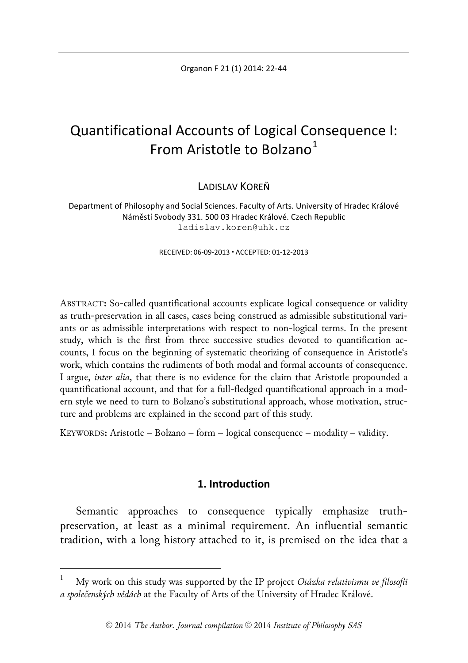Organon F 21 (1) 2014: 22-44

# Quantificational Accounts of Logical Consequence I: From Aristotle to Bolzano $<sup>1</sup>$  $<sup>1</sup>$  $<sup>1</sup>$ </sup>

LADISLAV KOREŇ

Department of Philosophy and Social Sciences. Faculty of Arts. University of Hradec Králové Náměstí Svobody 331. 500 03 Hradec Králové. Czech Republic ladislav.koren@uhk.cz

RECEIVED: 06-09-2013 ACCEPTED: 01-12-2013

ABSTRACT**:** So-called quantificational accounts explicate logical consequence or validity as truth-preservation in all cases, cases being construed as admissible substitutional variants or as admissible interpretations with respect to non-logical terms. In the present study, which is the first from three successive studies devoted to quantification accounts, I focus on the beginning of systematic theorizing of consequence in Aristotle's work, which contains the rudiments of both modal and formal accounts of consequence. I argue, *inter alia*, that there is no evidence for the claim that Aristotle propounded a quantificational account, and that for a full-fledged quantificational approach in a modern style we need to turn to Bolzano's substitutional approach, whose motivation, structure and problems are explained in the second part of this study.

KEYWORDS**:** Aristotle – Bolzano – form – logical consequence – modality – validity.

# **1. Introduction**

Semantic approaches to consequence typically emphasize truthpreservation, at least as a minimal requirement. An influential semantic tradition, with a long history attached to it, is premised on the idea that a

<span id="page-0-0"></span> <sup>1</sup> My work on this study was supported by the IP project *Otázka relativismu ve filosofii a společenských vědách* at the Faculty of Arts of the University of Hradec Králové.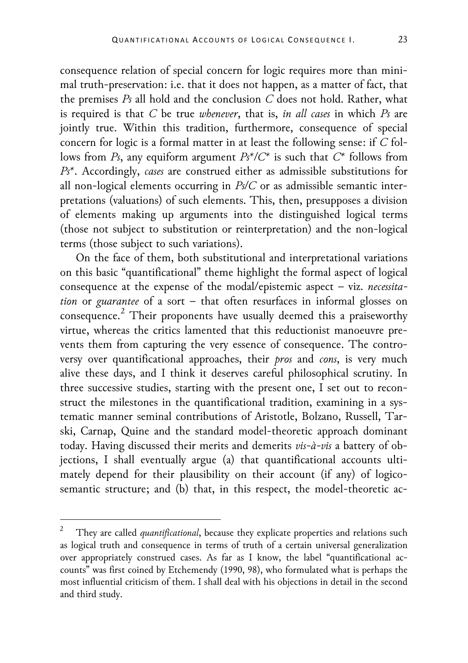consequence relation of special concern for logic requires more than minimal truth-preservation: i.e. that it does not happen, as a matter of fact, that the premises *Ps* all hold and the conclusion *C* does not hold. Rather, what is required is that *C* be true *whenever*, that is, *in all cases* in which *Ps* are jointly true. Within this tradition, furthermore, consequence of special concern for logic is a formal matter in at least the following sense: if *C* follows from *Ps*, any equiform argument *Ps\*/C\** is such that *C\** follows from *Ps\**. Accordingly, *cases* are construed either as admissible substitutions for all non-logical elements occurring in *Ps/C* or as admissible semantic interpretations (valuations) of such elements. This, then, presupposes a division of elements making up arguments into the distinguished logical terms (those not subject to substitution or reinterpretation) and the non-logical terms (those subject to such variations).

On the face of them, both substitutional and interpretational variations on this basic "quantificational" theme highlight the formal aspect of logical consequence at the expense of the modal/epistemic aspect – viz. *necessitation* or *guarantee* of a sort – that often resurfaces in informal glosses on consequence. [2](#page-1-0) Their proponents have usually deemed this a praiseworthy virtue, whereas the critics lamented that this reductionist manoeuvre prevents them from capturing the very essence of consequence. The controversy over quantificational approaches, their *pros* and *cons*, is very much alive these days, and I think it deserves careful philosophical scrutiny. In three successive studies, starting with the present one, I set out to reconstruct the milestones in the quantificational tradition, examining in a systematic manner seminal contributions of Aristotle, Bolzano, Russell, Tarski, Carnap, Quine and the standard model-theoretic approach dominant today. Having discussed their merits and demerits *vis-à-vis* a battery of objections, I shall eventually argue (a) that quantificational accounts ultimately depend for their plausibility on their account (if any) of logicosemantic structure; and (b) that, in this respect, the model-theoretic ac-

<span id="page-1-0"></span> <sup>2</sup> They are called *quantificational*, because they explicate properties and relations such as logical truth and consequence in terms of truth of a certain universal generalization over appropriately construed cases. As far as I know, the label "quantificational accounts" was first coined by Etchemendy (1990, 98), who formulated what is perhaps the most influential criticism of them. I shall deal with his objections in detail in the second and third study.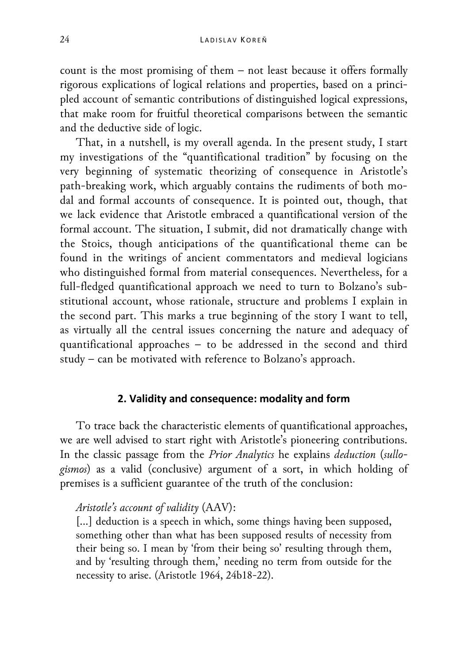count is the most promising of them – not least because it offers formally rigorous explications of logical relations and properties, based on a principled account of semantic contributions of distinguished logical expressions, that make room for fruitful theoretical comparisons between the semantic and the deductive side of logic.

That, in a nutshell, is my overall agenda. In the present study, I start my investigations of the "quantificational tradition" by focusing on the very beginning of systematic theorizing of consequence in Aristotle's path-breaking work, which arguably contains the rudiments of both modal and formal accounts of consequence. It is pointed out, though, that we lack evidence that Aristotle embraced a quantificational version of the formal account. The situation, I submit, did not dramatically change with the Stoics, though anticipations of the quantificational theme can be found in the writings of ancient commentators and medieval logicians who distinguished formal from material consequences. Nevertheless, for a full-fledged quantificational approach we need to turn to Bolzano's substitutional account, whose rationale, structure and problems I explain in the second part. This marks a true beginning of the story I want to tell, as virtually all the central issues concerning the nature and adequacy of quantificational approaches – to be addressed in the second and third study – can be motivated with reference to Bolzano's approach.

#### **2. Validity and consequence: modality and form**

To trace back the characteristic elements of quantificational approaches, we are well advised to start right with Aristotle's pioneering contributions. In the classic passage from the *Prior Analytics* he explains *deduction* (*sullogismos*) as a valid (conclusive) argument of a sort, in which holding of premises is a sufficient guarantee of the truth of the conclusion:

# *Aristotle's account of validity* (AAV):

[...] deduction is a speech in which, some things having been supposed, something other than what has been supposed results of necessity from their being so. I mean by 'from their being so' resulting through them, and by 'resulting through them,' needing no term from outside for the necessity to arise. (Aristotle 1964, 24b18-22).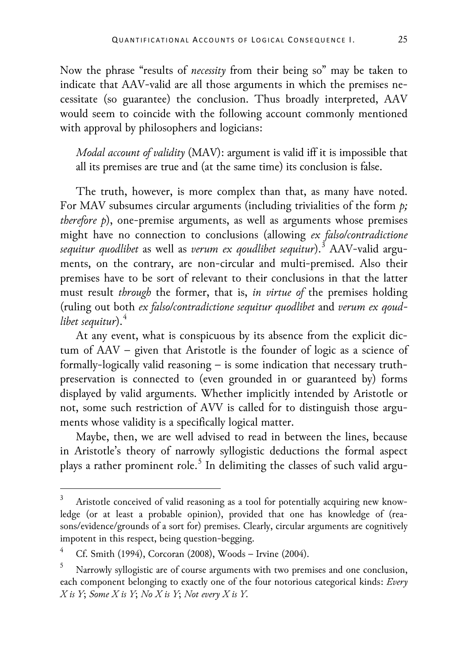Now the phrase "results of *necessity* from their being so" may be taken to indicate that AAV-valid are all those arguments in which the premises necessitate (so guarantee) the conclusion. Thus broadly interpreted, AAV would seem to coincide with the following account commonly mentioned with approval by philosophers and logicians:

*Modal account of validity* (MAV): argument is valid iff it is impossible that all its premises are true and (at the same time) its conclusion is false.

The truth, however, is more complex than that, as many have noted. For MAV subsumes circular arguments (including trivialities of the form *p; therefore p*), one-premise arguments, as well as arguments whose premises might have no connection to conclusions (allowing *ex falso/contradictione sequitur quodlibet* as well as *verum ex qoudlibet sequitur*).[3](#page-3-0) AAV-valid arguments, on the contrary, are non-circular and multi-premised. Also their premises have to be sort of relevant to their conclusions in that the latter must result *through* the former, that is, *in virtue of* the premises holding (ruling out both *ex falso/contradictione sequitur quodlibet* and *verum ex qoudlibet sequitur*).[4](#page-3-1)

At any event, what is conspicuous by its absence from the explicit dictum of AAV – given that Aristotle is the founder of logic as a science of formally-logically valid reasoning – is some indication that necessary truthpreservation is connected to (even grounded in or guaranteed by) forms displayed by valid arguments. Whether implicitly intended by Aristotle or not, some such restriction of AVV is called for to distinguish those arguments whose validity is a specifically logical matter.

Maybe, then, we are well advised to read in between the lines, because in Aristotle's theory of narrowly syllogistic deductions the formal aspect plays a rather prominent role. [5](#page-3-2) In delimiting the classes of such valid argu-

<span id="page-3-0"></span>Aristotle conceived of valid reasoning as a tool for potentially acquiring new knowledge (or at least a probable opinion), provided that one has knowledge of (reasons/evidence/grounds of a sort for) premises. Clearly, circular arguments are cognitively impotent in this respect, being question-begging.

<span id="page-3-1"></span><sup>4</sup> Cf. Smith (1994), Corcoran (2008), Woods – Irvine (2004).

<span id="page-3-2"></span><sup>5</sup> Narrowly syllogistic are of course arguments with two premises and one conclusion, each component belonging to exactly one of the four notorious categorical kinds: *Every X is Y*; *Some X is Y*; *No X is Y*; *Not every X is Y*.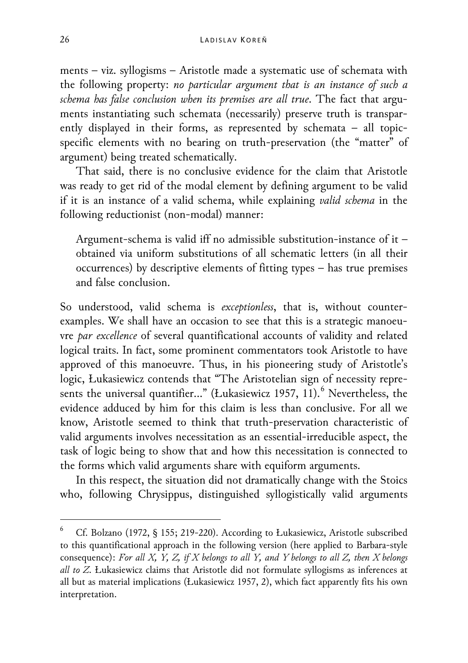ments – viz. syllogisms – Aristotle made a systematic use of schemata with the following property: *no particular argument that is an instance of such a schema has false conclusion when its premises are all true*. The fact that arguments instantiating such schemata (necessarily) preserve truth is transparently displayed in their forms, as represented by schemata – all topicspecific elements with no bearing on truth-preservation (the "matter" of argument) being treated schematically.

That said, there is no conclusive evidence for the claim that Aristotle was ready to get rid of the modal element by defining argument to be valid if it is an instance of a valid schema, while explaining *valid schema* in the following reductionist (non-modal) manner:

Argument-schema is valid iff no admissible substitution-instance of it – obtained via uniform substitutions of all schematic letters (in all their occurrences) by descriptive elements of fitting types – has true premises and false conclusion.

So understood, valid schema is *exceptionless*, that is, without counterexamples. We shall have an occasion to see that this is a strategic manoeuvre *par excellence* of several quantificational accounts of validity and related logical traits. In fact, some prominent commentators took Aristotle to have approved of this manoeuvre. Thus, in his pioneering study of Aristotle's logic, Łukasiewicz contends that "The Aristotelian sign of necessity repre-sents the universal quantifier..." (Łukasiewicz 1957, 11).<sup>[6](#page-4-0)</sup> Nevertheless, the evidence adduced by him for this claim is less than conclusive. For all we know, Aristotle seemed to think that truth-preservation characteristic of valid arguments involves necessitation as an essential-irreducible aspect, the task of logic being to show that and how this necessitation is connected to the forms which valid arguments share with equiform arguments.

In this respect, the situation did not dramatically change with the Stoics who, following Chrysippus, distinguished syllogistically valid arguments

<span id="page-4-0"></span> <sup>6</sup> Cf. Bolzano (1972, § 155; 219-220). According to Łukasiewicz, Aristotle subscribed to this quantificational approach in the following version (here applied to Barbara-style consequence): *For all X, Y, Z, if X belongs to all Y, and Y belongs to all Z, then X belongs all to Z*. Łukasiewicz claims that Aristotle did not formulate syllogisms as inferences at all but as material implications (Łukasiewicz 1957, 2), which fact apparently fits his own interpretation.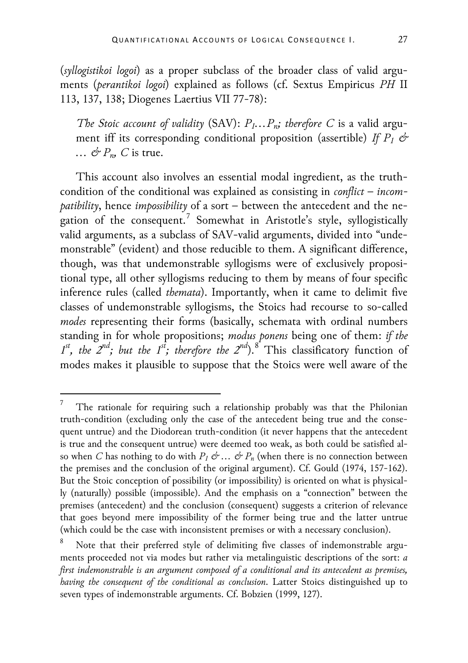(*syllogistikoi logoi*) as a proper subclass of the broader class of valid arguments (*perantikoi logoi*) explained as follows (cf. Sextus Empiricus *PH* II 113, 137, 138; Diogenes Laertius VII 77-78):

*The Stoic account of validity* (SAV):  $P_1 \ldots P_n$ *; therefore C is a valid argu*ment iff its corresponding conditional proposition (assertible) *If*  $P_1 \not\subset$ *… & P<sub>n</sub>*, *C* is true.

This account also involves an essential modal ingredient, as the truthcondition of the conditional was explained as consisting in *conflict* – *incompatibility*, hence *impossibility* of a sort – between the antecedent and the ne-gation of the consequent.<sup>[7](#page-5-0)</sup> Somewhat in Aristotle's style, syllogistically valid arguments, as a subclass of SAV-valid arguments, divided into "undemonstrable" (evident) and those reducible to them. A significant difference, though, was that undemonstrable syllogisms were of exclusively propositional type, all other syllogisms reducing to them by means of four specific inference rules (called *themata*). Importantly, when it came to delimit five classes of undemonstrable syllogisms, the Stoics had recourse to so-called *modes* representing their forms (basically, schemata with ordinal numbers standing in for whole propositions; *modus ponens* being one of them: *if the*   $1^{st}$ , the  $2^{nd}$ ; but the  $1^{st}$ ; therefore the  $2^{nd}$ ).<sup>[8](#page-5-1)</sup> This classificatory function of modes makes it plausible to suppose that the Stoics were well aware of the

<span id="page-5-0"></span> <sup>7</sup> The rationale for requiring such a relationship probably was that the Philonian truth-condition (excluding only the case of the antecedent being true and the consequent untrue) and the Diodorean truth-condition (it never happens that the antecedent is true and the consequent untrue) were deemed too weak, as both could be satisfied also when *C* has nothing to do with  $P_1 \not\subset \dots \not\subset P_n$  (when there is no connection between the premises and the conclusion of the original argument). Cf. Gould (1974, 157-162). But the Stoic conception of possibility (or impossibility) is oriented on what is physically (naturally) possible (impossible). And the emphasis on a "connection" between the premises (antecedent) and the conclusion (consequent) suggests a criterion of relevance that goes beyond mere impossibility of the former being true and the latter untrue (which could be the case with inconsistent premises or with a necessary conclusion).

<span id="page-5-1"></span>Note that their preferred style of delimiting five classes of indemonstrable arguments proceeded not via modes but rather via metalinguistic descriptions of the sort: *a first indemonstrable is an argument composed of a conditional and its antecedent as premises, having the consequent of the conditional as conclusion*. Latter Stoics distinguished up to seven types of indemonstrable arguments. Cf. Bobzien (1999, 127).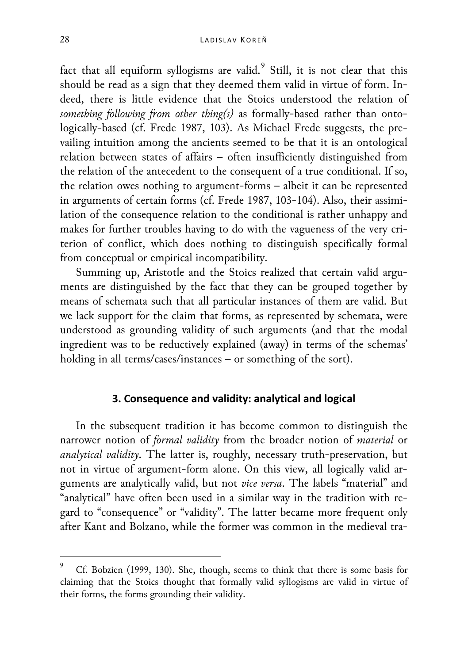fact that all equiform syllogisms are valid. $^9$  $^9$  Still, it is not clear that this should be read as a sign that they deemed them valid in virtue of form. Indeed, there is little evidence that the Stoics understood the relation of *something following from other thing(s)* as formally-based rather than ontologically-based (cf. Frede 1987, 103). As Michael Frede suggests, the prevailing intuition among the ancients seemed to be that it is an ontological relation between states of affairs – often insufficiently distinguished from the relation of the antecedent to the consequent of a true conditional. If so, the relation owes nothing to argument-forms – albeit it can be represented in arguments of certain forms (cf. Frede 1987, 103-104). Also, their assimilation of the consequence relation to the conditional is rather unhappy and makes for further troubles having to do with the vagueness of the very criterion of conflict, which does nothing to distinguish specifically formal from conceptual or empirical incompatibility.

Summing up, Aristotle and the Stoics realized that certain valid arguments are distinguished by the fact that they can be grouped together by means of schemata such that all particular instances of them are valid. But we lack support for the claim that forms, as represented by schemata, were understood as grounding validity of such arguments (and that the modal ingredient was to be reductively explained (away) in terms of the schemas' holding in all terms/cases/instances – or something of the sort).

#### **3. Consequence and validity: analytical and logical**

In the subsequent tradition it has become common to distinguish the narrower notion of *formal validity* from the broader notion of *material* or *analytical validity*. The latter is, roughly, necessary truth-preservation, but not in virtue of argument-form alone. On this view, all logically valid arguments are analytically valid, but not *vice versa*. The labels "material" and "analytical" have often been used in a similar way in the tradition with regard to "consequence" or "validity". The latter became more frequent only after Kant and Bolzano, while the former was common in the medieval tra-

<span id="page-6-0"></span>Cf. Bobzien (1999, 130). She, though, seems to think that there is some basis for claiming that the Stoics thought that formally valid syllogisms are valid in virtue of their forms, the forms grounding their validity.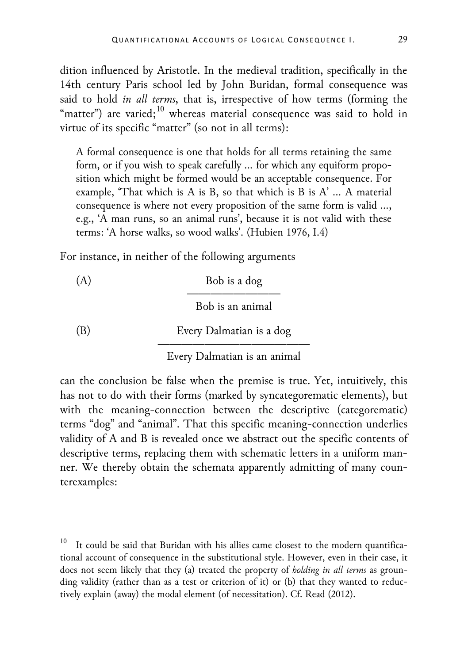dition influenced by Aristotle. In the medieval tradition, specifically in the 14th century Paris school led by John Buridan, formal consequence was said to hold *in all terms*, that is, irrespective of how terms (forming the "matter") are varied; $^{10}$  $^{10}$  $^{10}$  whereas material consequence was said to hold in virtue of its specific "matter" (so not in all terms):

A formal consequence is one that holds for all terms retaining the same form, or if you wish to speak carefully … for which any equiform proposition which might be formed would be an acceptable consequence. For example, 'That which is A is B, so that which is B is A' … A material consequence is where not every proposition of the same form is valid …, e.g., 'A man runs, so an animal runs', because it is not valid with these terms: 'A horse walks, so wood walks'. (Hubien 1976, I.4)

For instance, in neither of the following arguments

(A) Bob is a dog ———————— Bob is an animal (B) Every Dalmatian is a dog —————————————

Every Dalmatian is an animal

can the conclusion be false when the premise is true. Yet, intuitively, this has not to do with their forms (marked by syncategorematic elements), but with the meaning-connection between the descriptive (categorematic) terms "dog" and "animal". That this specific meaning-connection underlies validity of A and B is revealed once we abstract out the specific contents of descriptive terms, replacing them with schematic letters in a uniform manner. We thereby obtain the schemata apparently admitting of many counterexamples:

<span id="page-7-0"></span>It could be said that Buridan with his allies came closest to the modern quantificational account of consequence in the substitutional style. However, even in their case, it does not seem likely that they (a) treated the property of *holding in all terms* as grounding validity (rather than as a test or criterion of it) or (b) that they wanted to reductively explain (away) the modal element (of necessitation). Cf. Read (2012).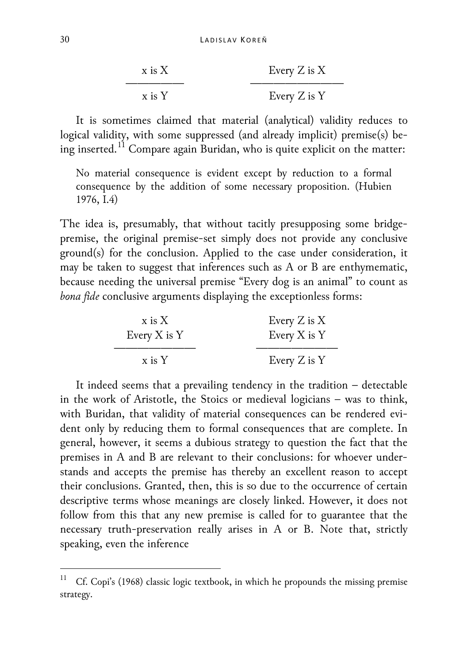| $x$ is $X$ | Every $Z$ is $X$ |
|------------|------------------|
| $x$ is $Y$ | Every $Z$ is $Y$ |

It is sometimes claimed that material (analytical) validity reduces to logical validity, with some suppressed (and already implicit) premise(s) being inserted. $^{11}$  $^{11}$  $^{11}$  Compare again Buridan, who is quite explicit on the matter:

No material consequence is evident except by reduction to a formal consequence by the addition of some necessary proposition. (Hubien 1976, I.4)

The idea is, presumably, that without tacitly presupposing some bridgepremise, the original premise-set simply does not provide any conclusive ground(s) for the conclusion. Applied to the case under consideration, it may be taken to suggest that inferences such as A or B are enthymematic, because needing the universal premise "Every dog is an animal" to count as *bona fide* conclusive arguments displaying the exceptionless forms:

| $x$ is $X$       | Every $Z$ is $X$ |
|------------------|------------------|
| Every $X$ is $Y$ | Every $X$ is $Y$ |
| $x$ is $Y$       | Every $Z$ is $Y$ |

It indeed seems that a prevailing tendency in the tradition – detectable in the work of Aristotle, the Stoics or medieval logicians – was to think, with Buridan, that validity of material consequences can be rendered evident only by reducing them to formal consequences that are complete. In general, however, it seems a dubious strategy to question the fact that the premises in A and B are relevant to their conclusions: for whoever understands and accepts the premise has thereby an excellent reason to accept their conclusions. Granted, then, this is so due to the occurrence of certain descriptive terms whose meanings are closely linked. However, it does not follow from this that any new premise is called for to guarantee that the necessary truth-preservation really arises in A or B. Note that, strictly speaking, even the inference

<span id="page-8-0"></span>Cf. Copi's (1968) classic logic textbook, in which he propounds the missing premise strategy.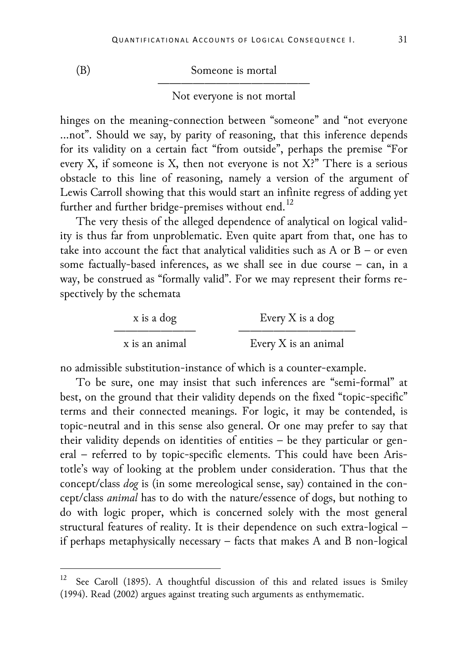(B) Someone is mortal —————————————

Not everyone is not mortal

hinges on the meaning-connection between "someone" and "not everyone …not". Should we say, by parity of reasoning, that this inference depends for its validity on a certain fact "from outside", perhaps the premise "For every X, if someone is X, then not everyone is not X?" There is a serious obstacle to this line of reasoning, namely a version of the argument of Lewis Carroll showing that this would start an infinite regress of adding yet further and further bridge-premises without end.<sup>[12](#page-9-0)</sup>

The very thesis of the alleged dependence of analytical on logical validity is thus far from unproblematic. Even quite apart from that, one has to take into account the fact that analytical validities such as A or B – or even some factually-based inferences, as we shall see in due course – can, in a way, be construed as "formally valid". For we may represent their forms respectively by the schemata

| x is a dog     | Every $X$ is a dog   |
|----------------|----------------------|
| x is an animal | Every X is an animal |

no admissible substitution-instance of which is a counter-example.

To be sure, one may insist that such inferences are "semi-formal" at best, on the ground that their validity depends on the fixed "topic-specific" terms and their connected meanings. For logic, it may be contended, is topic-neutral and in this sense also general. Or one may prefer to say that their validity depends on identities of entities – be they particular or general – referred to by topic-specific elements. This could have been Aristotle's way of looking at the problem under consideration. Thus that the concept/class *dog* is (in some mereological sense, say) contained in the concept/class *animal* has to do with the nature/essence of dogs, but nothing to do with logic proper, which is concerned solely with the most general structural features of reality. It is their dependence on such extra-logical – if perhaps metaphysically necessary – facts that makes A and B non-logical

<span id="page-9-0"></span>See Caroll (1895). A thoughtful discussion of this and related issues is Smiley (1994). Read (2002) argues against treating such arguments as enthymematic.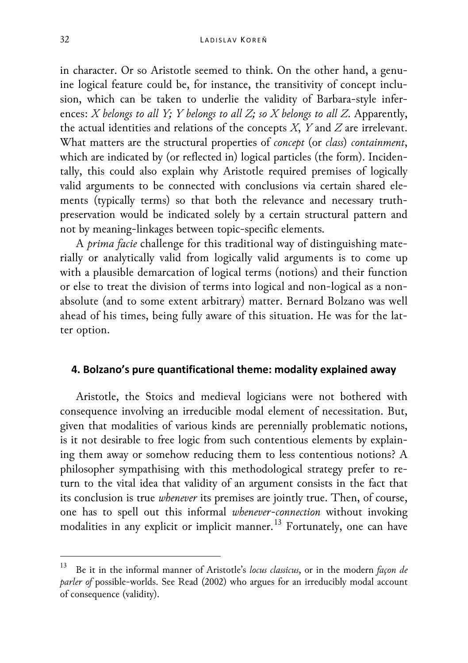in character. Or so Aristotle seemed to think. On the other hand, a genuine logical feature could be, for instance, the transitivity of concept inclusion, which can be taken to underlie the validity of Barbara-style inferences: *X belongs to all Y; Y belongs to all Z; so X belongs to all Z*. Apparently, the actual identities and relations of the concepts *X*, *Y* and *Z* are irrelevant. What matters are the structural properties of *concept* (or *class*) *containment*, which are indicated by (or reflected in) logical particles (the form). Incidentally, this could also explain why Aristotle required premises of logically valid arguments to be connected with conclusions via certain shared elements (typically terms) so that both the relevance and necessary truthpreservation would be indicated solely by a certain structural pattern and not by meaning-linkages between topic-specific elements.

A *prima facie* challenge for this traditional way of distinguishing materially or analytically valid from logically valid arguments is to come up with a plausible demarcation of logical terms (notions) and their function or else to treat the division of terms into logical and non-logical as a nonabsolute (and to some extent arbitrary) matter. Bernard Bolzano was well ahead of his times, being fully aware of this situation. He was for the latter option.

#### **4. Bolzano's pure quantificational theme: modality explained away**

Aristotle, the Stoics and medieval logicians were not bothered with consequence involving an irreducible modal element of necessitation. But, given that modalities of various kinds are perennially problematic notions, is it not desirable to free logic from such contentious elements by explaining them away or somehow reducing them to less contentious notions? A philosopher sympathising with this methodological strategy prefer to return to the vital idea that validity of an argument consists in the fact that its conclusion is true *whenever* its premises are jointly true. Then, of course, one has to spell out this informal *whenever-connection* without invoking modalities in any explicit or implicit manner.<sup>[13](#page-10-0)</sup> Fortunately, one can have

<span id="page-10-0"></span> <sup>13</sup> Be it in the informal manner of Aristotle's *locus classicus*, or in the modern *façon de parler of* possible-worlds. See Read (2002) who argues for an irreducibly modal account of consequence (validity).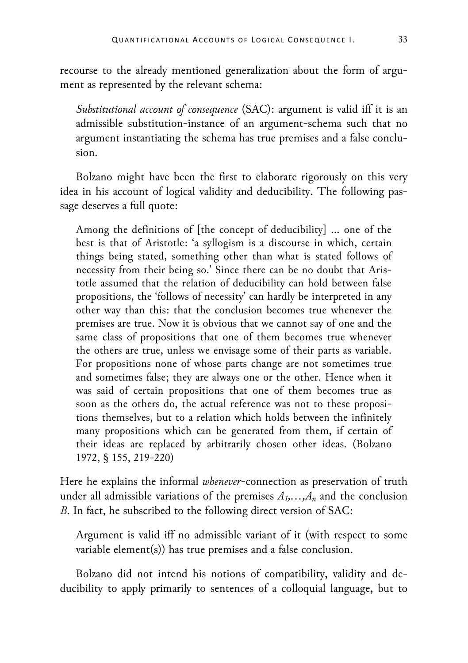recourse to the already mentioned generalization about the form of argument as represented by the relevant schema:

*Substitutional account of consequence* (SAC): argument is valid iff it is an admissible substitution-instance of an argument-schema such that no argument instantiating the schema has true premises and a false conclusion.

Bolzano might have been the first to elaborate rigorously on this very idea in his account of logical validity and deducibility. The following passage deserves a full quote:

Among the definitions of [the concept of deducibility] … one of the best is that of Aristotle: 'a syllogism is a discourse in which, certain things being stated, something other than what is stated follows of necessity from their being so.' Since there can be no doubt that Aristotle assumed that the relation of deducibility can hold between false propositions, the 'follows of necessity' can hardly be interpreted in any other way than this: that the conclusion becomes true whenever the premises are true. Now it is obvious that we cannot say of one and the same class of propositions that one of them becomes true whenever the others are true, unless we envisage some of their parts as variable. For propositions none of whose parts change are not sometimes true and sometimes false; they are always one or the other. Hence when it was said of certain propositions that one of them becomes true as soon as the others do, the actual reference was not to these propositions themselves, but to a relation which holds between the infinitely many propositions which can be generated from them, if certain of their ideas are replaced by arbitrarily chosen other ideas. (Bolzano 1972, § 155, 219-220)

Here he explains the informal *whenever*-connection as preservation of truth under all admissible variations of the premises  $A_1, \ldots, A_n$  and the conclusion *B*. In fact, he subscribed to the following direct version of SAC:

Argument is valid iff no admissible variant of it (with respect to some variable element(s)) has true premises and a false conclusion.

Bolzano did not intend his notions of compatibility, validity and deducibility to apply primarily to sentences of a colloquial language, but to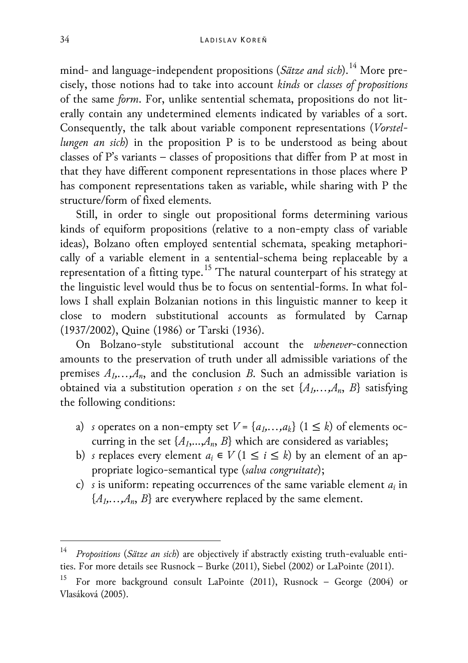mind- and language-independent propositions (*Sätze and sich*).[14](#page-12-0) More precisely, those notions had to take into account *kinds* or *classes of propositions* of the same *form*. For, unlike sentential schemata, propositions do not literally contain any undetermined elements indicated by variables of a sort. Consequently, the talk about variable component representations (*Vorstellungen an sich*) in the proposition P is to be understood as being about classes of P's variants – classes of propositions that differ from P at most in that they have different component representations in those places where P has component representations taken as variable, while sharing with P the structure/form of fixed elements.

Still, in order to single out propositional forms determining various kinds of equiform propositions (relative to a non-empty class of variable ideas), Bolzano often employed sentential schemata, speaking metaphorically of a variable element in a sentential-schema being replaceable by a representation of a fitting type.<sup>[15](#page-12-1)</sup> The natural counterpart of his strategy at the linguistic level would thus be to focus on sentential-forms. In what follows I shall explain Bolzanian notions in this linguistic manner to keep it close to modern substitutional accounts as formulated by Carnap (1937/2002), Quine (1986) or Tarski (1936).

On Bolzano-style substitutional account the *whenever*-connection amounts to the preservation of truth under all admissible variations of the premises  $A_1, \ldots, A_n$ , and the conclusion *B*. Such an admissible variation is obtained via a substitution operation *s* on the set  $\{A_1, \ldots, A_n, B\}$  satisfying the following conditions:

- a) *s* operates on a non-empty set  $V = \{a_1, \ldots, a_k\}$  ( $1 \leq k$ ) of elements occurring in the set  $\{A_1, \ldots, A_n, B\}$  which are considered as variables;
- b) *s* replaces every element  $a_i \in V$  ( $1 \le i \le k$ ) by an element of an appropriate logico-semantical type (*salva congruitate*);
- c) *s* is uniform: repeating occurrences of the same variable element *ai* in  ${A_1, \ldots, A_n, B}$  are everywhere replaced by the same element.

<span id="page-12-0"></span> <sup>14</sup> *Propositions* (*Sätze an sich*) are objectively if abstractly existing truth-evaluable entities. For more details see Rusnock – Burke (2011), Siebel (2002) or LaPointe (2011).

<span id="page-12-1"></span><sup>15</sup> For more background consult LaPointe (2011), [Rusnock](http://philpapers.org/s/Paul%2520Rusnock) – George (2004) or Vlasáková (2005).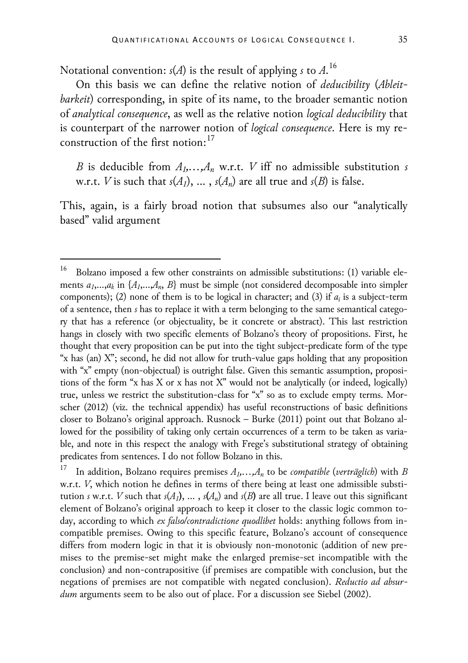Notational convention: *s*(*A*) is the result of applying *s* to *A*. [16](#page-13-0)

On this basis we can define the relative notion of *deducibility* (*Ableitbarkeit*) corresponding, in spite of its name, to the broader semantic notion of *analytical consequence*, as well as the relative notion *logical deducibility* that is counterpart of the narrower notion of *logical consequence*. Here is my re-construction of the first notion:<sup>[17](#page-13-1)</sup>

*B* is deducible from  $A_1, \ldots, A_n$  w.r.t. *V* iff no admissible substitution *s* w.r.t. *V* is such that  $s(A_1)$ , ...,  $s(A_n)$  are all true and  $s(B)$  is false.

This, again, is a fairly broad notion that subsumes also our "analytically based" valid argument

<span id="page-13-0"></span><sup>&</sup>lt;sup>16</sup> Bolzano imposed a few other constraints on admissible substitutions: (1) variable elements  $a_1,...,a_k$  in  $\{A_1,...,A_n, B\}$  must be simple (not considered decomposable into simpler components); (2) none of them is to be logical in character; and (3) if *ai* is a subject-term of a sentence, then *s* has to replace it with a term belonging to the same semantical category that has a reference (or objectuality, be it concrete or abstract). This last restriction hangs in closely with two specific elements of Bolzano's theory of propositions. First, he thought that every proposition can be put into the tight subject-predicate form of the type "x has (an) X"; second, he did not allow for truth-value gaps holding that any proposition with "x" empty (non-objectual) is outright false. Given this semantic assumption, propositions of the form "x has X or x has not X" would not be analytically (or indeed, logically) true, unless we restrict the substitution-class for "x" so as to exclude empty terms. Morscher (2012) (viz. the technical appendix) has useful reconstructions of basic definitions closer to Bolzano's original approach. Rusnock – Burke (2011) point out that Bolzano allowed for the possibility of taking only certain occurrences of a term to be taken as variable, and note in this respect the analogy with Frege's substitutional strategy of obtaining predicates from sentences. I do not follow Bolzano in this.

<span id="page-13-1"></span>In addition, Bolzano requires premises  $A_1, \ldots, A_n$  to be *compatible* (*verträglich*) with *B* w.r.t. *V*, which notion he defines in terms of there being at least one admissible substitution *s* w.r.t. *V* such that  $s(A_1)$ , ...,  $s(A_n)$  and  $s(B)$  are all true. I leave out this significant element of Bolzano's original approach to keep it closer to the classic logic common today, according to which *ex falso/contradictione quodlibet* holds: anything follows from incompatible premises. Owing to this specific feature, Bolzano's account of consequence differs from modern logic in that it is obviously non-monotonic (addition of new premises to the premise-set might make the enlarged premise-set incompatible with the conclusion) and non-contrapositive (if premises are compatible with conclusion, but the negations of premises are not compatible with negated conclusion). *Reductio ad absurdum* arguments seem to be also out of place. For a discussion see Siebel (2002).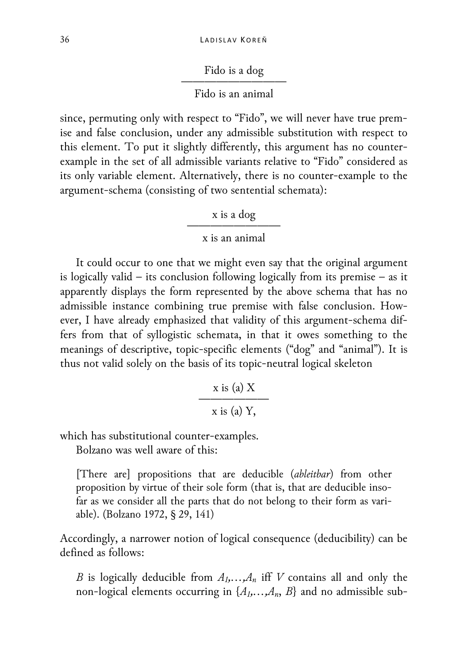# Fido is a dog

# Fido is an animal

since, permuting only with respect to "Fido", we will never have true premise and false conclusion, under any admissible substitution with respect to this element. To put it slightly differently, this argument has no counterexample in the set of all admissible variants relative to "Fido" considered as its only variable element. Alternatively, there is no counter-example to the argument-schema (consisting of two sentential schemata):

x is a dog

# x is an animal

It could occur to one that we might even say that the original argument is logically valid – its conclusion following logically from its premise – as it apparently displays the form represented by the above schema that has no admissible instance combining true premise with false conclusion. However, I have already emphasized that validity of this argument-schema differs from that of syllogistic schemata, in that it owes something to the meanings of descriptive, topic-specific elements ("dog" and "animal"). It is thus not valid solely on the basis of its topic-neutral logical skeleton

$$
\frac{x \text{ is (a) X}}{x \text{ is (a) Y,}}
$$

which has substitutional counter-examples.

Bolzano was well aware of this:

[There are] propositions that are deducible (*ableitbar*) from other proposition by virtue of their sole form (that is, that are deducible insofar as we consider all the parts that do not belong to their form as variable). (Bolzano 1972, § 29, 141)

Accordingly, a narrower notion of logical consequence (deducibility) can be defined as follows:

*B* is logically deducible from  $A_1, \ldots, A_n$  iff *V* contains all and only the non-logical elements occurring in  $\{A_1, \ldots, A_n, B\}$  and no admissible sub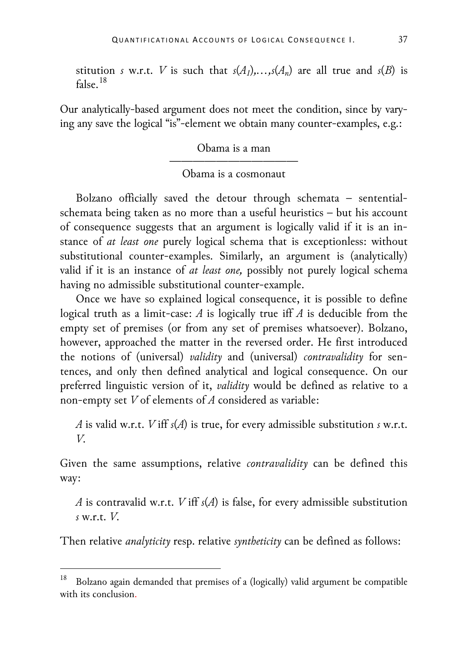stitution *s* w.r.t. *V* is such that  $s(A_1),...,s(A_n)$  are all true and  $s(B)$  is  $false$ <sup>[18](#page-15-0)</sup>

Our analytically-based argument does not meet the condition, since by varying any save the logical "is"-element we obtain many counter-examples, e.g.:

Obama is a man

# ———————————————————— Obama is a cosmonaut

Bolzano officially saved the detour through schemata – sententialschemata being taken as no more than a useful heuristics – but his account of consequence suggests that an argument is logically valid if it is an instance of *at least one* purely logical schema that is exceptionless: without substitutional counter-examples. Similarly, an argument is (analytically) valid if it is an instance of *at least one,* possibly not purely logical schema having no admissible substitutional counter-example.

Once we have so explained logical consequence, it is possible to define logical truth as a limit-case: *A* is logically true iff *A* is deducible from the empty set of premises (or from any set of premises whatsoever). Bolzano, however, approached the matter in the reversed order. He first introduced the notions of (universal) *validity* and (universal) *contravalidity* for sentences, and only then defined analytical and logical consequence. On our preferred linguistic version of it, *validity* would be defined as relative to a non-empty set *V* of elements of *A* considered as variable:

*A* is valid w.r.t. *V* iff *s*(*A*) is true, for every admissible substitution *s* w.r.t. *V*.

Given the same assumptions, relative *contravalidity* can be defined this way:

*A* is contravalid w.r.t. *V* iff *s*(*A*) is false, for every admissible substitution *s* w.r.t. *V*.

Then relative *analyticity* resp. relative *syntheticity* can be defined as follows:

<span id="page-15-0"></span> <sup>18</sup> Bolzano again demanded that premises of a (logically) valid argument be compatible with its conclusion.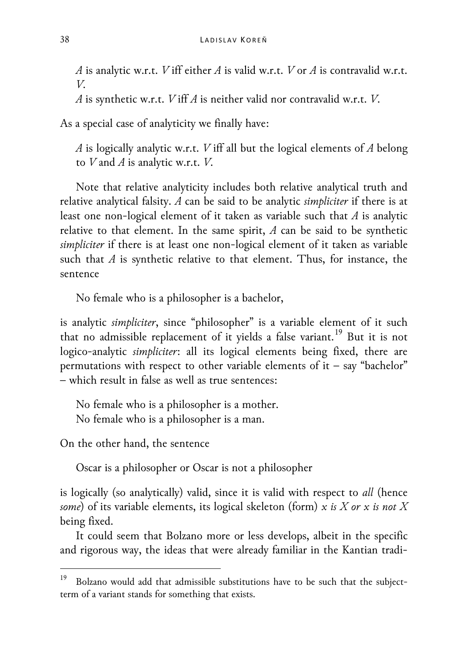*A* is analytic w.r.t. *V* iff either *A* is valid w.r.t. *V* or *A* is contravalid w.r.t. *V*.

*A* is synthetic w.r.t. *V* iff *A* is neither valid nor contravalid w.r.t. *V*.

As a special case of analyticity we finally have:

*A* is logically analytic w.r.t. *V* iff all but the logical elements of *A* belong to *V* and *A* is analytic w.r.t. *V*.

Note that relative analyticity includes both relative analytical truth and relative analytical falsity. *A* can be said to be analytic *simpliciter* if there is at least one non-logical element of it taken as variable such that *A* is analytic relative to that element. In the same spirit, *A* can be said to be synthetic *simpliciter* if there is at least one non-logical element of it taken as variable such that *A* is synthetic relative to that element. Thus, for instance, the sentence

No female who is a philosopher is a bachelor,

is analytic *simpliciter*, since "philosopher" is a variable element of it such that no admissible replacement of it yields a false variant.<sup>[19](#page-16-0)</sup> But it is not logico-analytic *simpliciter*: all its logical elements being fixed, there are permutations with respect to other variable elements of it – say "bachelor" – which result in false as well as true sentences:

No female who is a philosopher is a mother. No female who is a philosopher is a man.

On the other hand, the sentence

Oscar is a philosopher or Oscar is not a philosopher

is logically (so analytically) valid, since it is valid with respect to *all* (hence *some*) of its variable elements, its logical skeleton (form) *x is X or x is not X*  being fixed.

It could seem that Bolzano more or less develops, albeit in the specific and rigorous way, the ideas that were already familiar in the Kantian tradi-

<span id="page-16-0"></span> <sup>19</sup> Bolzano would add that admissible substitutions have to be such that the subjectterm of a variant stands for something that exists.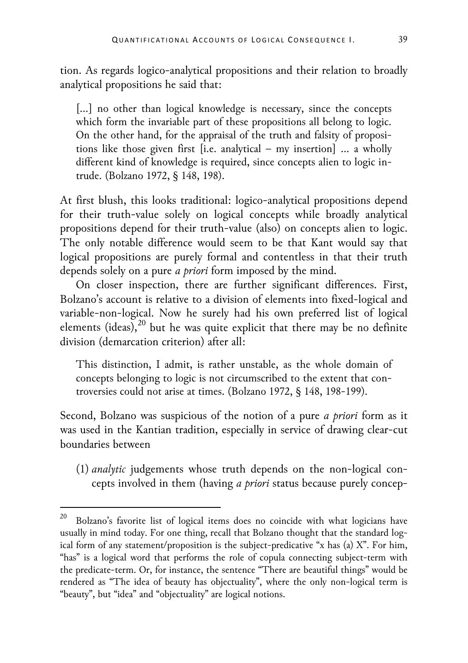tion. As regards logico-analytical propositions and their relation to broadly analytical propositions he said that:

[...] no other than logical knowledge is necessary, since the concepts which form the invariable part of these propositions all belong to logic. On the other hand, for the appraisal of the truth and falsity of propositions like those given first [i.e. analytical – my insertion] … a wholly different kind of knowledge is required, since concepts alien to logic intrude. (Bolzano 1972, § 148, 198).

At first blush, this looks traditional: logico-analytical propositions depend for their truth-value solely on logical concepts while broadly analytical propositions depend for their truth-value (also) on concepts alien to logic. The only notable difference would seem to be that Kant would say that logical propositions are purely formal and contentless in that their truth depends solely on a pure *a priori* form imposed by the mind.

On closer inspection, there are further significant differences. First, Bolzano's account is relative to a division of elements into fixed-logical and variable-non-logical. Now he surely had his own preferred list of logical elements (ideas), $^{20}$  $^{20}$  $^{20}$  but he was quite explicit that there may be no definite division (demarcation criterion) after all:

This distinction, I admit, is rather unstable, as the whole domain of concepts belonging to logic is not circumscribed to the extent that controversies could not arise at times. (Bolzano 1972, § 148, 198-199).

Second, Bolzano was suspicious of the notion of a pure *a priori* form as it was used in the Kantian tradition, especially in service of drawing clear-cut boundaries between

(1) *analytic* judgements whose truth depends on the non-logical concepts involved in them (having *a priori* status because purely concep-

<span id="page-17-0"></span> <sup>20</sup> Bolzano's favorite list of logical items does no coincide with what logicians have usually in mind today. For one thing, recall that Bolzano thought that the standard logical form of any statement/proposition is the subject-predicative "x has (a) X". For him, "has" is a logical word that performs the role of copula connecting subject-term with the predicate-term. Or, for instance, the sentence "There are beautiful things" would be rendered as "The idea of beauty has objectuality", where the only non-logical term is "beauty", but "idea" and "objectuality" are logical notions.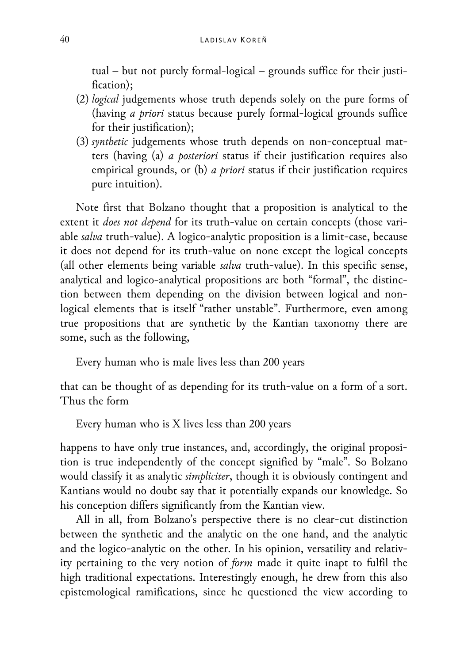tual – but not purely formal-logical – grounds suffice for their justification);

- (2) *logical* judgements whose truth depends solely on the pure forms of (having *a priori* status because purely formal-logical grounds suffice for their justification);
- (3) *synthetic* judgements whose truth depends on non-conceptual matters (having (a) *a posteriori* status if their justification requires also empirical grounds, or (b) *a priori* status if their justification requires pure intuition).

Note first that Bolzano thought that a proposition is analytical to the extent it *does not depend* for its truth-value on certain concepts (those variable *salva* truth-value). A logico-analytic proposition is a limit-case, because it does not depend for its truth-value on none except the logical concepts (all other elements being variable *salva* truth-value). In this specific sense, analytical and logico-analytical propositions are both "formal", the distinction between them depending on the division between logical and nonlogical elements that is itself "rather unstable". Furthermore, even among true propositions that are synthetic by the Kantian taxonomy there are some, such as the following,

Every human who is male lives less than 200 years

that can be thought of as depending for its truth-value on a form of a sort. Thus the form

Every human who is X lives less than 200 years

happens to have only true instances, and, accordingly, the original proposition is true independently of the concept signified by "male". So Bolzano would classify it as analytic *simpliciter*, though it is obviously contingent and Kantians would no doubt say that it potentially expands our knowledge. So his conception differs significantly from the Kantian view.

All in all, from Bolzano's perspective there is no clear-cut distinction between the synthetic and the analytic on the one hand, and the analytic and the logico-analytic on the other. In his opinion, versatility and relativity pertaining to the very notion of *form* made it quite inapt to fulfil the high traditional expectations. Interestingly enough, he drew from this also epistemological ramifications, since he questioned the view according to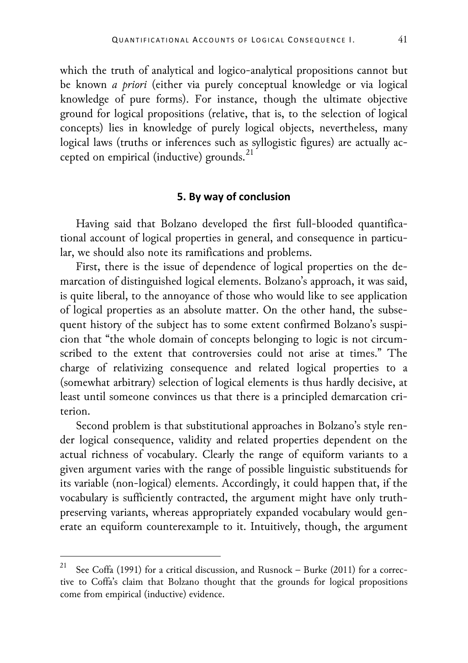which the truth of analytical and logico-analytical propositions cannot but be known *a priori* (either via purely conceptual knowledge or via logical knowledge of pure forms). For instance, though the ultimate objective ground for logical propositions (relative, that is, to the selection of logical concepts) lies in knowledge of purely logical objects, nevertheless, many logical laws (truths or inferences such as syllogistic figures) are actually ac-cepted on empirical (inductive) grounds.<sup>[21](#page-19-0)</sup>

## **5. By way of conclusion**

Having said that Bolzano developed the first full-blooded quantificational account of logical properties in general, and consequence in particular, we should also note its ramifications and problems.

First, there is the issue of dependence of logical properties on the demarcation of distinguished logical elements. Bolzano's approach, it was said, is quite liberal, to the annoyance of those who would like to see application of logical properties as an absolute matter. On the other hand, the subsequent history of the subject has to some extent confirmed Bolzano's suspicion that "the whole domain of concepts belonging to logic is not circumscribed to the extent that controversies could not arise at times." The charge of relativizing consequence and related logical properties to a (somewhat arbitrary) selection of logical elements is thus hardly decisive, at least until someone convinces us that there is a principled demarcation criterion.

Second problem is that substitutional approaches in Bolzano's style render logical consequence, validity and related properties dependent on the actual richness of vocabulary. Clearly the range of equiform variants to a given argument varies with the range of possible linguistic substituends for its variable (non-logical) elements. Accordingly, it could happen that, if the vocabulary is sufficiently contracted, the argument might have only truthpreserving variants, whereas appropriately expanded vocabulary would generate an equiform counterexample to it. Intuitively, though, the argument

<span id="page-19-0"></span>See Coffa (1991) for a critical discussion, and Rusnock – Burke (2011) for a corrective to Coffa's claim that Bolzano thought that the grounds for logical propositions come from empirical (inductive) evidence.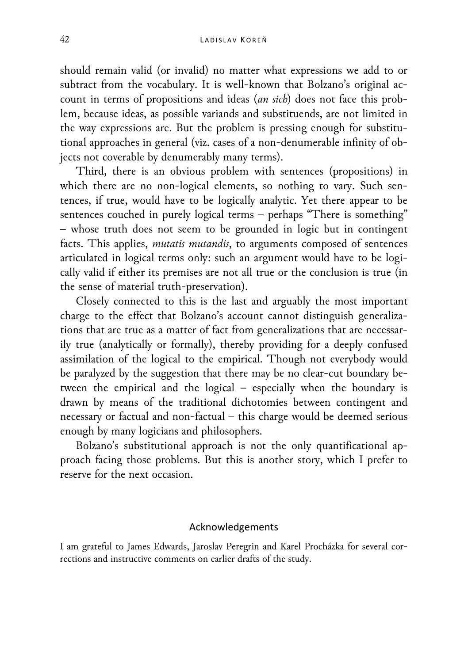should remain valid (or invalid) no matter what expressions we add to or subtract from the vocabulary. It is well-known that Bolzano's original account in terms of propositions and ideas (*an sich*) does not face this problem, because ideas, as possible variands and substituends, are not limited in the way expressions are. But the problem is pressing enough for substitutional approaches in general (viz. cases of a non-denumerable infinity of objects not coverable by denumerably many terms).

Third, there is an obvious problem with sentences (propositions) in which there are no non-logical elements, so nothing to vary. Such sentences, if true, would have to be logically analytic. Yet there appear to be sentences couched in purely logical terms – perhaps "There is something" – whose truth does not seem to be grounded in logic but in contingent facts. This applies, *mutatis mutandis*, to arguments composed of sentences articulated in logical terms only: such an argument would have to be logically valid if either its premises are not all true or the conclusion is true (in the sense of material truth-preservation).

Closely connected to this is the last and arguably the most important charge to the effect that Bolzano's account cannot distinguish generalizations that are true as a matter of fact from generalizations that are necessarily true (analytically or formally), thereby providing for a deeply confused assimilation of the logical to the empirical. Though not everybody would be paralyzed by the suggestion that there may be no clear-cut boundary between the empirical and the logical – especially when the boundary is drawn by means of the traditional dichotomies between contingent and necessary or factual and non-factual – this charge would be deemed serious enough by many logicians and philosophers.

Bolzano's substitutional approach is not the only quantificational approach facing those problems. But this is another story, which I prefer to reserve for the next occasion.

#### Acknowledgements

I am grateful to James Edwards, Jaroslav Peregrin and Karel Procházka for several corrections and instructive comments on earlier drafts of the study.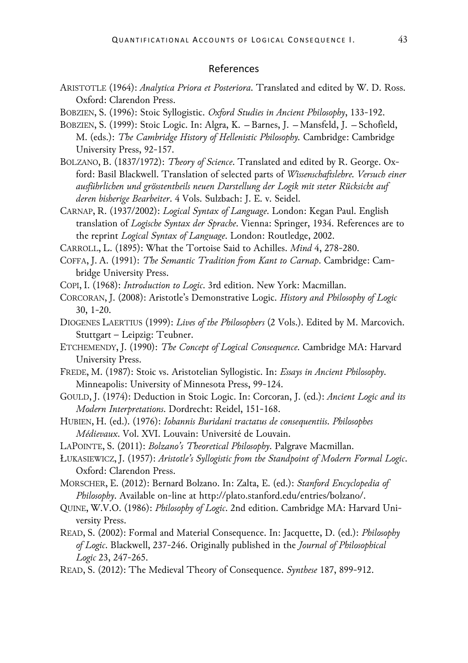#### References

- ARISTOTLE (1964): *Analytica Priora et Posteriora*. Translated and edited by W. D. Ross. Oxford: Clarendon Press.
- BOBZIEN, S. (1996): Stoic Syllogistic. *Oxford Studies in Ancient Philosophy*, 133-192.
- BOBZIEN, S. (1999): Stoic Logic. In: Algra, K. Barnes, J. Mansfeld, J. Schofield, M. (eds.): *The Cambridge History of Hellenistic Philosophy.* Cambridge: Cambridge University Press, 92-157.
- BOLZANO, B. (1837/1972): *Theory of Science*. Translated and edited by R. George. Oxford: Basil Blackwell. Translation of selected parts of *Wissenschaftslehre. Versuch einer ausführlichen und grösstentheils neuen Darstellung der Logik mit steter Rücksicht auf deren bisherige Bearbeiter*. 4 Vols. Sulzbach: J. E. v. Seidel.
- CARNAP, R. (1937/2002): *Logical Syntax of Language*. London: Kegan Paul. English translation of *Logische Syntax der Sprache*. Vienna: Springer, 1934. References are to the reprint *Logical Syntax of Language*. London: Routledge, 2002.
- CARROLL, L. (1895): What the Tortoise Said to Achilles. *Mind* 4, 278-280.
- COFFA, J. A. (1991): *The Semantic Tradition from Kant to Carnap*. Cambridge: Cambridge University Press.
- COPI, I. (1968): *Introduction to Logic*. 3rd edition. New York: Macmillan.
- CORCORAN, J. (2008): Aristotle's Demonstrative Logic. *History and Philosophy of Logic* 30, 1-20.
- DIOGENES LAERTIUS (1999): *Lives of the Philosophers* (2 Vols.). Edited by M. Marcovich. Stuttgart – Leipzig: Teubner.
- ETCHEMENDY, J. (1990): *The Concept of Logical Consequence*. Cambridge MA: Harvard University Press.
- FREDE, M. (1987): Stoic vs. Aristotelian Syllogistic. In: *Essays in Ancient Philosophy*. Minneapolis: University of Minnesota Press, 99-124.
- GOULD, J. (1974): Deduction in Stoic Logic. In: Corcoran, J. (ed.): *Ancient Logic and its Modern Interpretations*. Dordrecht: Reidel, 151-168.
- HUBIEN, H. (ed.). (1976): *Iohannis Buridani tractatus de consequentiis*. *Philosophes Médievaux*. Vol. XVI. Louvain: Université de Louvain.
- LAPOINTE, S. (2011): *Bolzano's Theoretical Philosophy*. Palgrave Macmillan.
- ŁUKASIEWICZ, J. (1957): *Aristotle's Syllogistic from the Standpoint of Modern Formal Logic*. Oxford: Clarendon Press.
- MORSCHER, E. (2012): Bernard Bolzano. In: Zalta, E. (ed.): *Stanford Encyclopedia of Philosophy*. Available on-line at http://plato.stanford.edu/entries/bolzano/.
- QUINE, W.V.O. (1986): *Philosophy of Logic*. 2nd edition. Cambridge MA: Harvard University Press.
- READ, S. (2002): Formal and Material Consequence. In: Jacquette, D. (ed.): *Philosophy of Logic*. Blackwell, 237-246. Originally published in the *Journal of Philosophical Logic* 23, 247-265.
- READ, S. (2012): The Medieval Theory of Consequence. *Synthese* 187, 899-912.